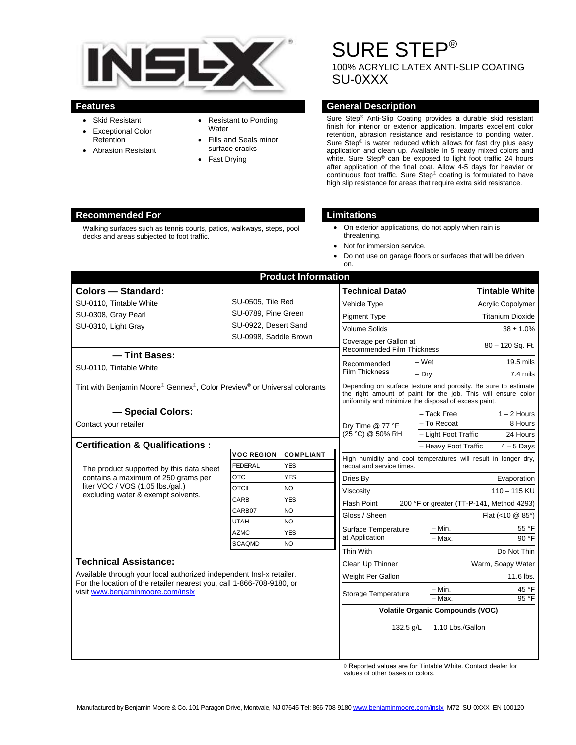

- Skid Resistant
- Exceptional Color **Retention**
- Abrasion Resistant
- Resistant to Ponding **Water**
- Fills and Seals minor surface cracks
- Fast Drying

# SURE STEP® 100% ACRYLIC LATEX ANTI-SLIP COATING SU-0XXX

#### **Features General Description**

Sure Step® Anti-Slip Coating provides a durable skid resistant finish for interior or exterior application. Imparts excellent color retention, abrasion resistance and resistance to ponding water. Sure Step® is water reduced which allows for fast dry plus easy application and clean up. Available in 5 ready mixed colors and white. Sure Step® can be exposed to light foot traffic 24 hours after application of the final coat. Allow 4-5 days for heavier or continuous foot traffic. Sure Step® coating is formulated to have high slip resistance for areas that require extra skid resistance.

#### **Recommended For Limitations**

Walking surfaces such as tennis courts, patios, walkways, steps, pool decks and areas subjected to foot traffic.

- On exterior applications, do not apply when rain is threatening.
- Not for immersion service.
- Do not use on garage floors or surfaces that will be driven on.

| <b>Product Information</b>                                                                                                                                                         |                                                                                                                                                                                          |                                |                                                        |                                                                |
|------------------------------------------------------------------------------------------------------------------------------------------------------------------------------------|------------------------------------------------------------------------------------------------------------------------------------------------------------------------------------------|--------------------------------|--------------------------------------------------------|----------------------------------------------------------------|
| Colors - Standard:                                                                                                                                                                 |                                                                                                                                                                                          | <b>Technical Data</b> ♦        | <b>Tintable White</b>                                  |                                                                |
| SU-0110, Tintable White                                                                                                                                                            | SU-0505, Tile Red<br>SU-0789, Pine Green                                                                                                                                                 |                                | Vehicle Type                                           | Acrylic Copolymer                                              |
| SU-0308, Gray Pearl                                                                                                                                                                |                                                                                                                                                                                          |                                | <b>Pigment Type</b>                                    | <b>Titanium Dioxide</b>                                        |
| SU-0310, Light Gray                                                                                                                                                                | SU-0922, Desert Sand                                                                                                                                                                     |                                | <b>Volume Solids</b>                                   | $38 \pm 1.0\%$                                                 |
|                                                                                                                                                                                    | SU-0998, Saddle Brown                                                                                                                                                                    |                                | Coverage per Gallon at                                 |                                                                |
| - Tint Bases:                                                                                                                                                                      |                                                                                                                                                                                          |                                | 80 - 120 Sq. Ft.<br><b>Recommended Film Thickness</b>  |                                                                |
| SU-0110, Tintable White                                                                                                                                                            |                                                                                                                                                                                          |                                | Recommended                                            | 19.5 mils<br>$-Wet$                                            |
|                                                                                                                                                                                    |                                                                                                                                                                                          |                                | Film Thickness                                         | $-$ Drv<br>$7.4$ mils                                          |
| Tint with Benjamin Moore® Gennex®, Color Preview® or Universal colorants                                                                                                           | Depending on surface texture and porosity. Be sure to estimate<br>the right amount of paint for the job. This will ensure color<br>uniformity and minimize the disposal of excess paint. |                                |                                                        |                                                                |
| - Special Colors:                                                                                                                                                                  |                                                                                                                                                                                          |                                | Dry Time @ 77 °F<br>(25 °C) @ 50% RH                   | - Tack Free<br>$1 - 2$ Hours                                   |
| Contact your retailer                                                                                                                                                              |                                                                                                                                                                                          | $-$ To Recoat<br>8 Hours       |                                                        |                                                                |
|                                                                                                                                                                                    |                                                                                                                                                                                          |                                |                                                        | - Light Foot Traffic<br>24 Hours                               |
| <b>Certification &amp; Qualifications:</b>                                                                                                                                         |                                                                                                                                                                                          |                                |                                                        | - Heavy Foot Traffic<br>$4-5$ Days                             |
| The product supported by this data sheet<br>contains a maximum of 250 grams per<br>liter VOC / VOS (1.05 lbs./gal.)<br>excluding water & exempt solvents.                          | <b>VOC REGION</b><br><b>FEDERAL</b>                                                                                                                                                      | <b>COMPLIANT</b><br><b>YES</b> |                                                        | High humidity and cool temperatures will result in longer dry, |
|                                                                                                                                                                                    | <b>OTC</b>                                                                                                                                                                               | <b>YES</b>                     | recoat and service times.                              |                                                                |
|                                                                                                                                                                                    | <b>OTCII</b>                                                                                                                                                                             | <b>NO</b>                      | Dries By                                               | Evaporation                                                    |
|                                                                                                                                                                                    | CARB                                                                                                                                                                                     | <b>YES</b>                     | Viscosity                                              | 110 - 115 KU                                                   |
|                                                                                                                                                                                    | CARB07                                                                                                                                                                                   | <b>NO</b>                      | <b>Flash Point</b>                                     | 200 °F or greater (TT-P-141, Method 4293)                      |
|                                                                                                                                                                                    | <b>UTAH</b>                                                                                                                                                                              | NO                             | Gloss / Sheen<br>Surface Temperature<br>at Application | Flat (<10 @ 85°)                                               |
|                                                                                                                                                                                    | <b>AZMC</b>                                                                                                                                                                              | <b>YES</b>                     |                                                        | – Min.<br>55 °F                                                |
|                                                                                                                                                                                    | <b>SCAQMD</b>                                                                                                                                                                            | <b>NO</b>                      |                                                        | - Max.<br>90 °F                                                |
|                                                                                                                                                                                    |                                                                                                                                                                                          |                                | Thin With                                              | Do Not Thin                                                    |
| <b>Technical Assistance:</b>                                                                                                                                                       |                                                                                                                                                                                          |                                | Clean Up Thinner                                       | Warm, Soapy Water                                              |
| Available through your local authorized independent Insl-x retailer.<br>For the location of the retailer nearest you, call 1-866-708-9180, or<br>visit www.benjaminmoore.com/inslx |                                                                                                                                                                                          |                                | Weight Per Gallon                                      | 11.6 lbs.                                                      |
|                                                                                                                                                                                    |                                                                                                                                                                                          |                                | Storage Temperature                                    | - Min.<br>45 °F                                                |
|                                                                                                                                                                                    |                                                                                                                                                                                          |                                |                                                        | $-Max$ .<br>95 °F                                              |
|                                                                                                                                                                                    |                                                                                                                                                                                          |                                | <b>Volatile Organic Compounds (VOC)</b>                |                                                                |
|                                                                                                                                                                                    |                                                                                                                                                                                          |                                | 132.5 g/L                                              | 1.10 Lbs./Gallon                                               |
|                                                                                                                                                                                    |                                                                                                                                                                                          |                                |                                                        |                                                                |

◊ Reported values are for Tintable White. Contact dealer for values of other bases or colors.